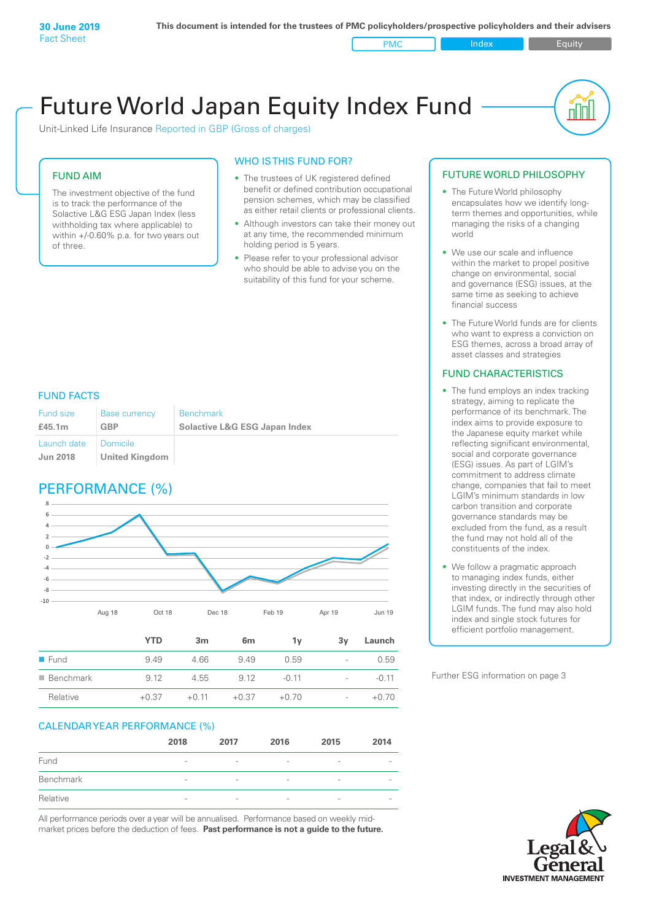PMC Index Figuity

nl IN

# Future World Japan Equity Index Fund

Unit-Linked Life Insurance Reported in GBP (Gross of charges)

### FUND AIM

The investment objective of the fund is to track the performance of the Solactive L&G ESG Japan Index (less withholding tax where applicable) to within +/-0.60% p.a. for two years out of three.

### WHO IS THIS FUND FOR?

- The trustees of UK registered defined benefit or defined contribution occupational pension schemes, which may be classified as either retail clients or professional clients.
- Although investors can take their money out at any time, the recommended minimum holding period is 5 years.
- Please refer to your professional advisor who should be able to advise you on the suitability of this fund for your scheme.

#### FUND FACTS

| Fund size<br>£45.1m    | <b>Base currency</b><br>GBP | <b>Benchmark</b><br><b>Solactive L&amp;G ESG Japan Index</b> |
|------------------------|-----------------------------|--------------------------------------------------------------|
| Launch date   Domicile |                             |                                                              |
| <b>Jun 2018</b>        | United Kingdom              |                                                              |

### PERFORMANCE (%)



|                          | YTD     | 3m      | 6 <sub>m</sub> | 1v      | 3v                       | Launch  |
|--------------------------|---------|---------|----------------|---------|--------------------------|---------|
| $\blacksquare$ Fund      | 9.49    | 4.66    | 9.49           | 0.59    | -                        | 0.59    |
| $\blacksquare$ Benchmark | 9.12    | 4.55    | 9 1 2          | $-0.11$ | $\overline{\phantom{a}}$ | $-0.11$ |
| Relative                 | $+0.37$ | $+0.11$ | $+0.37$        | $+0.70$ | $\overline{\phantom{0}}$ | $+0.70$ |

### CALENDAR YEAR PERFORMANCE (%)

|           | 2018                     | 2017                     | 2016                     | 2015                     | 2014                     |
|-----------|--------------------------|--------------------------|--------------------------|--------------------------|--------------------------|
| Fund      | $\qquad \qquad$          | $\overline{\phantom{0}}$ | $\overline{\phantom{0}}$ | $\overline{\phantom{a}}$ | $\qquad \qquad$          |
| Benchmark | $\overline{\phantom{a}}$ | $\overline{\phantom{a}}$ | $\overline{\phantom{a}}$ | $\overline{\phantom{a}}$ | $\qquad \qquad$          |
| Relative  | $\sim$                   | $\overline{\phantom{a}}$ | $\overline{\phantom{a}}$ | $\overline{\phantom{a}}$ | $\overline{\phantom{a}}$ |

All performance periods over a year will be annualised. Performance based on weekly midmarket prices before the deduction of fees. **Past performance is not a guide to the future.**

#### FUTURE WORLD PHILOSOPHY

- The Future World philosophy encapsulates how we identify longterm themes and opportunities, while managing the risks of a changing world
- We use our scale and influence within the market to propel positive change on environmental, social and governance (ESG) issues, at the same time as seeking to achieve financial success
- The Future World funds are for clients who want to express a conviction on ESG themes, across a broad array of asset classes and strategies

#### FUND CHARACTERISTICS

- The fund employs an index tracking strategy, aiming to replicate the performance of its benchmark. The index aims to provide exposure to the Japanese equity market while reflecting significant environmental, social and corporate governance (ESG) issues. As part of LGIM's commitment to address climate change, companies that fail to meet LGIM's minimum standards in low carbon transition and corporate governance standards may be excluded from the fund, as a result the fund may not hold all of the constituents of the index.
- We follow a pragmatic approach to managing index funds, either investing directly in the securities of that index, or indirectly through other LGIM funds. The fund may also hold index and single stock futures for efficient portfolio management.

Further ESG information on page 3

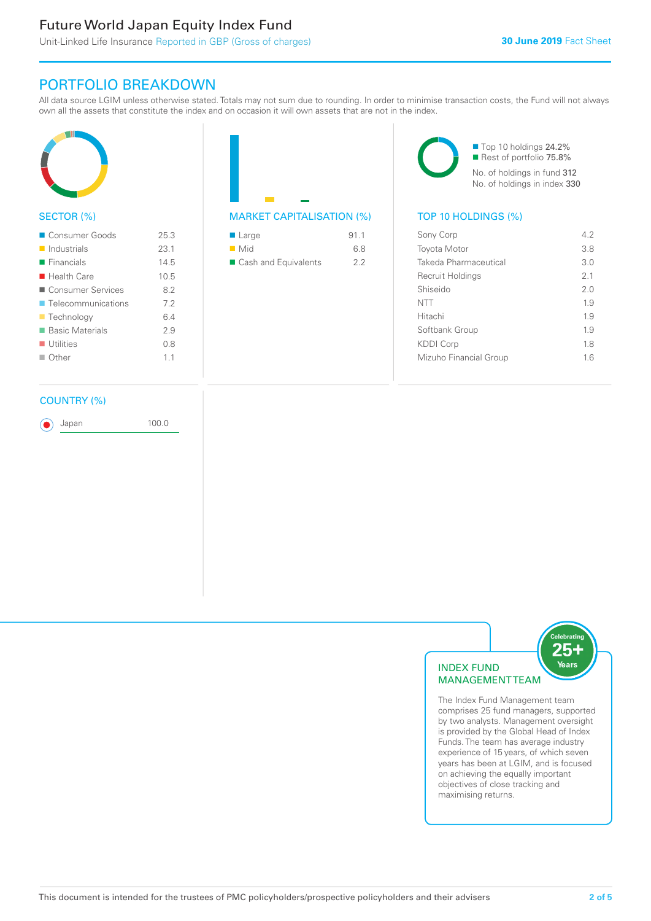## Future World Japan Equity Index Fund

### PORTFOLIO BREAKDOWN

All data source LGIM unless otherwise stated. Totals may not sum due to rounding. In order to minimise transaction costs, the Fund will not always own all the assets that constitute the index and on occasion it will own assets that are not in the index.



#### SECTOR (%)

| ■ Consumer Goods           | 25.3 |
|----------------------------|------|
| $\blacksquare$ Industrials | 231  |
| $\blacksquare$ Financials  | 145  |
| $\blacksquare$ Health Care | 10.5 |
| ■ Consumer Services        | 82   |
| ■ Telecommunications       | 72   |
| ■ Technology               | 64   |
| ■ Basic Materials          | 29   |
| $\blacksquare$ Utilities   | 08   |
| $\Box$ Other               | 11   |
|                            |      |

#### COUNTRY (%)

Japan 100.0

| $\blacksquare$ Large | 91.1 |
|----------------------|------|
| $\blacksquare$ Mid   | 6.8  |
| Cash and Equivalents | 22   |

■ Top 10 holdings 24.2% Rest of portfolio 75.8% No. of holdings in fund 312 No. of holdings in index 330

#### MARKET CAPITALISATION (%) TOP 10 HOLDINGS (%)

| Sony Corp              | 42  |
|------------------------|-----|
| <b>Toyota Motor</b>    | 3.8 |
| Takeda Pharmaceutical  | 3 O |
| Recruit Holdings       | 21  |
| Shiseido               | 2.0 |
| <b>NTT</b>             | 19  |
| Hitachi                | 1.9 |
| Softbank Group         | 19  |
| <b>KDDI Corp</b>       | 18  |
| Mizuho Financial Group | 16  |
|                        |     |



The Index Fund Management team comprises 25 fund managers, supported by two analysts. Management oversight is provided by the Global Head of Index Funds. The team has average industry experience of 15 years, of which seven years has been at LGIM, and is focused on achieving the equally important objectives of close tracking and maximising returns.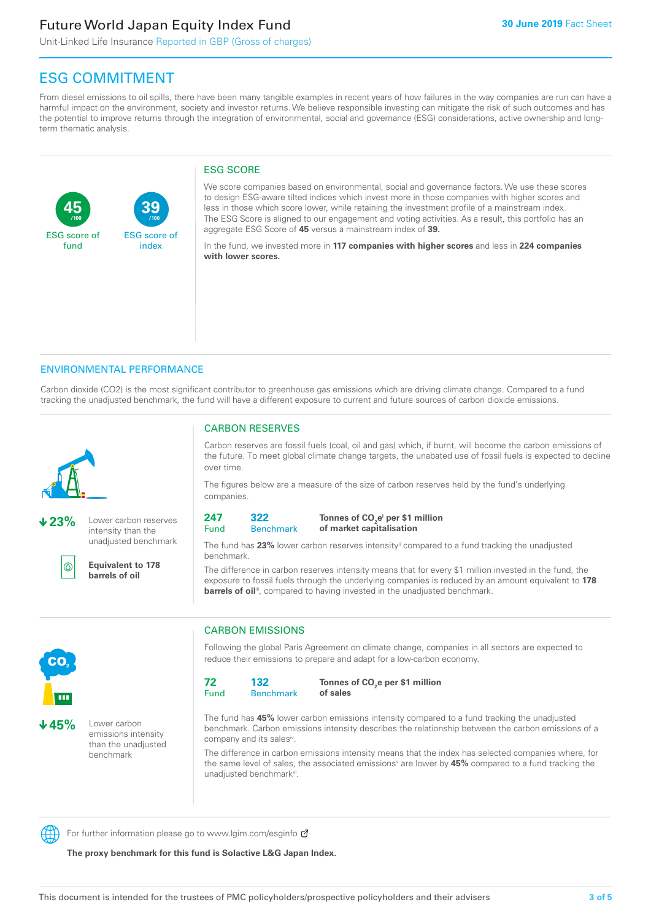## Future World Japan Equity Index Fund

**39**

ESG score of index

Unit-Linked Life Insurance Reported in GBP (Gross of charges)

### ESG COMMITMENT

**/100 /100**

From diesel emissions to oil spills, there have been many tangible examples in recent years of how failures in the way companies are run can have a harmful impact on the environment, society and investor returns. We believe responsible investing can mitigate the risk of such outcomes and has the potential to improve returns through the integration of environmental, social and governance (ESG) considerations, active ownership and longterm thematic analysis.

#### ESG SCORE

We score companies based on environmental, social and governance factors. We use these scores to design ESG-aware tilted indices which invest more in those companies with higher scores and less in those which score lower, while retaining the investment profile of a mainstream index. The ESG Score is aligned to our engagement and voting activities. As a result, this portfolio has an aggregate ESG Score of **45** versus a mainstream index of **39.**

In the fund, we invested more in **117 companies with higher scores** and less in **224 companies with lower scores.**

#### ENVIRONMENTAL PERFORMANCE

Carbon dioxide (CO2) is the most significant contributor to greenhouse gas emissions which are driving climate change. Compared to a fund tracking the unadjusted benchmark, the fund will have a different exposure to current and future sources of carbon dioxide emissions.



**45**

ESG score of fund

**23%** Lower carbon reserves intensity than the unadjusted benchmark



**Equivalent to 178 barrels of oil**

#### CARBON RESERVES

Carbon reserves are fossil fuels (coal, oil and gas) which, if burnt, will become the carbon emissions of the future. To meet global climate change targets, the unabated use of fossil fuels is expected to decline over time.

The figures below are a measure of the size of carbon reserves held by the fund's underlying companies.



#### Tonnes of CO<sub>2</sub>e<sup>i</sup> per \$1 million **of market capitalisation**

The fund has 23% lower carbon reserves intensity<sup>ii</sup> compared to a fund tracking the unadjusted benchmark.

The difference in carbon reserves intensity means that for every \$1 million invested in the fund, the exposure to fossil fuels through the underlying companies is reduced by an amount equivalent to **178**  barrels of oil<sup>iii</sup>, compared to having invested in the unadjusted benchmark.



**45%** Lower carbon emissions intensity than the unadjusted benchmark

### CARBON EMISSIONS

Following the global Paris Agreement on climate change, companies in all sectors are expected to reduce their emissions to prepare and adapt for a low-carbon economy.

| 72   | 132              |
|------|------------------|
| Fund | <b>Benchmark</b> |

Tonnes of CO<sub>2</sub>e per \$1 million **of sales**

The fund has **45%** lower carbon emissions intensity compared to a fund tracking the unadjusted benchmark. Carbon emissions intensity describes the relationship between the carbon emissions of a company and its sales<sup>iv</sup>.

The difference in carbon emissions intensity means that the index has selected companies where, for the same level of sales, the associated emissions<sup>v</sup> are lower by **45%** compared to a fund tracking the unadjusted benchmark<sup>vi</sup>.



For further information please go to www.lgim.com/esginfo Ø

**The proxy benchmark for this fund is Solactive L&G Japan Index.**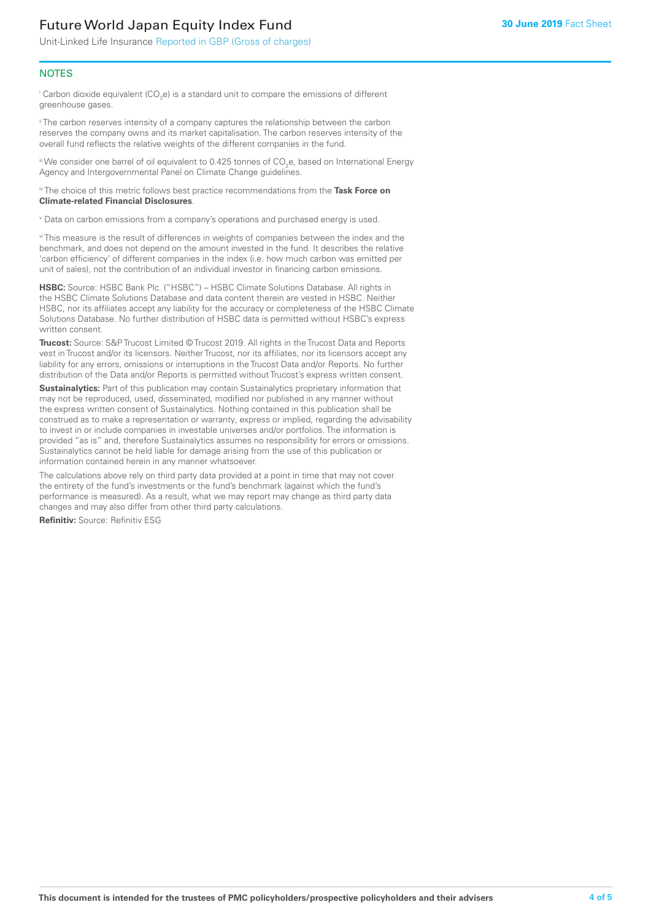## Future World Japan Equity Index Fund

Unit-Linked Life Insurance Reported in GBP (Gross of charges)

#### **NOTES**

 $^\mathrm{i}$  Carbon dioxide equivalent (CO<sub>2</sub>e) is a standard unit to compare the emissions of different greenhouse gases.

<sup>ii</sup> The carbon reserves intensity of a company captures the relationship between the carbon reserves the company owns and its market capitalisation. The carbon reserves intensity of the overall fund reflects the relative weights of the different companies in the fund.

iii We consider one barrel of oil equivalent to 0.425 tonnes of CO<sub>2</sub>e, based on International Energy Agency and Intergovernmental Panel on Climate Change guidelines.

#### iv The choice of this metric follows best practice recommendations from the **Task Force on Climate-related Financial Disclosures**.

v Data on carbon emissions from a company's operations and purchased energy is used.

vi This measure is the result of differences in weights of companies between the index and the benchmark, and does not depend on the amount invested in the fund. It describes the relative 'carbon efficiency' of different companies in the index (i.e. how much carbon was emitted per unit of sales), not the contribution of an individual investor in financing carbon emissions.

**HSBC:** Source: HSBC Bank Plc. ("HSBC") – HSBC Climate Solutions Database. All rights in the HSBC Climate Solutions Database and data content therein are vested in HSBC. Neither HSBC, nor its affiliates accept any liability for the accuracy or completeness of the HSBC Climate Solutions Database. No further distribution of HSBC data is permitted without HSBC's express written consent.

**Trucost:** Source: S&P Trucost Limited © Trucost 2019. All rights in the Trucost Data and Reports vest in Trucost and/or its licensors. Neither Trucost, nor its affiliates, nor its licensors accept any liability for any errors, omissions or interruptions in the Trucost Data and/or Reports. No further distribution of the Data and/or Reports is permitted without Trucost's express written consent.

**Sustainalytics:** Part of this publication may contain Sustainalytics proprietary information that may not be reproduced, used, disseminated, modified nor published in any manner without the express written consent of Sustainalytics. Nothing contained in this publication shall be construed as to make a representation or warranty, express or implied, regarding the advisability to invest in or include companies in investable universes and/or portfolios. The information is provided "as is" and, therefore Sustainalytics assumes no responsibility for errors or omissions. Sustainalytics cannot be held liable for damage arising from the use of this publication or information contained herein in any manner whatsoever.

The calculations above rely on third party data provided at a point in time that may not cover the entirety of the fund's investments or the fund's benchmark (against which the fund's performance is measured). As a result, what we may report may change as third party data changes and may also differ from other third party calculations.

**Refinitiv:** Source: Refinitiv ESG